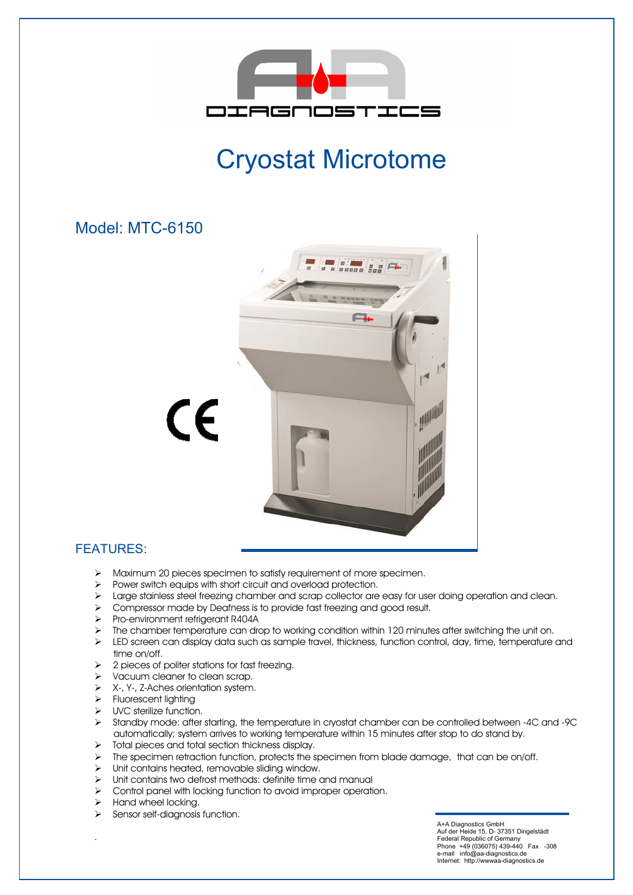

## Cryostat Microtome

## Model: MTC-6150



## FEATURES:

- > Maximum 20 pieces specimen to satisfy requirement of more specimen.
- $\triangleright$  Power switch equips with short circuit and overload protection.
- $\triangleright$  Large stainless steel freezing chamber and scrap collector are easy for user doing operation and clean.
- > Compressor made by Deafness is to provide fast freezing and good result.
- Pro-environment refrigerant R404A
- $\triangleright$  The chamber temperature can drop to working condition within 120 minutes after switching the unit on.
- $\triangleright$  LED screen can display data such as sample travel, thickness, function control, day, time, temperature and time on/off.
- $\geq$  2 pieces of politer stations for fast freezing.
- > Vacuum cleaner to clean scrap.
- > X-, Y-, Z-Aches orientation system.
- > Fluorescent lighting
- > UVC sterilize function.
- Standby mode: after starting, the temperature in cryostat chamber can be controlled between -4C and -9C automatically; system arrives to working temperature within 15 minutes after stop to do stand by.
- $\triangleright$  Total pieces and total section thickness display.
- $\triangleright$  The specimen retraction function, protects the specimen from blade damage, that can be on/off.
- Unit contains heated, removable sliding window.
- Unit contains two defrost methods: definite time and manual
- > Control panel with locking function to avoid improper operation.
- $\blacktriangleright$  Hand wheel locking.

.

 $\triangleright$  Sensor self-diagnosis function.

A+A Diagnostics GmbH Auf der Heide 15, D- 37351 Dingelstädt Federal Republic of Germany Phone +49 (036075) 439-440 Fax -308 e-mail info@aa-diagnostics.de Internet: http://wwwaa-diagnostics.de